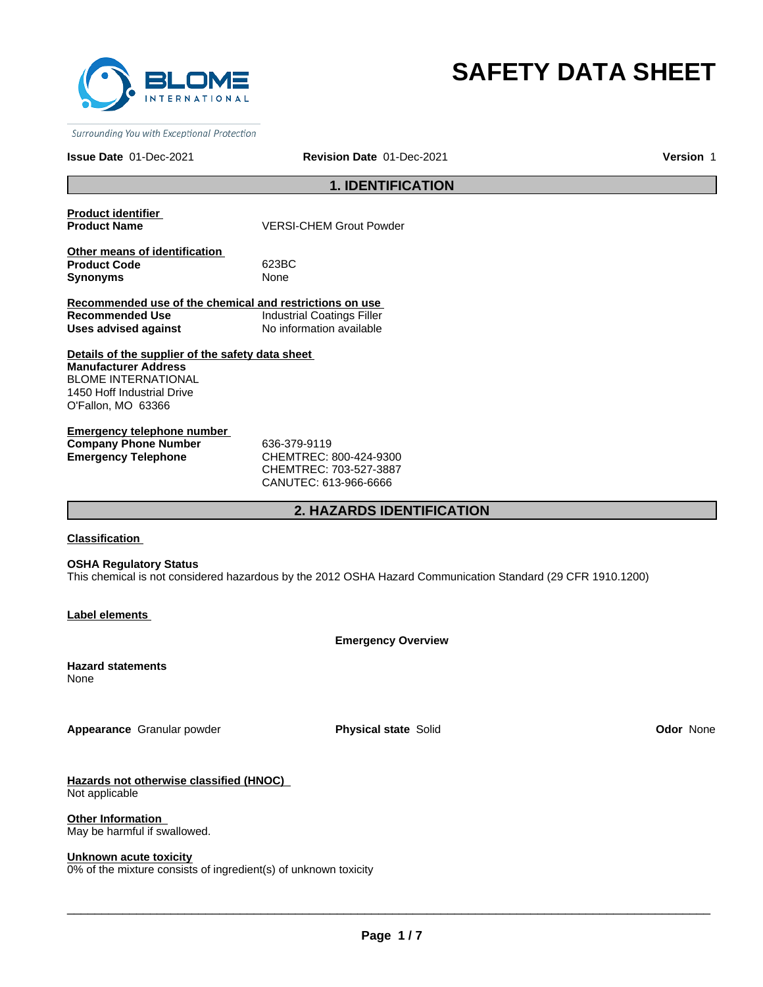

# **SAFETY DATA SHEET**

Surrounding You with Exceptional Protection

**Issue Date** 01-Dec-2021

**Revision Date** 01-Dec-2021 **Version** 1

# **1. IDENTIFICATION**

**Product identifier** 

**VERSI-CHEM Grout Powder** 

**Other means of identification Product Code** 623BC **Synonyms** None

**Recommended use of the chemical and restrictions on use Recommended Use Industrial Coatings Filler Uses advised against** No information available

**Details of the supplier of the safety data sheet Manufacturer Address** BLOME INTERNATIONAL 1450 Hoff Industrial Drive O'Fallon, MO 63366

**Emergency telephone number Company Phone Number** 636-379-9119 **Emergency Telephone** CHEMTREC: 800-424-9300

CHEMTREC: 703-527-3887 CANUTEC: 613-966-6666

# **2. HAZARDS IDENTIFICATION**

### **Classification**

**OSHA Regulatory Status** This chemical is not considered hazardous by the 2012 OSHA Hazard Communication Standard (29 CFR 1910.1200)

**Label elements** 

**Emergency Overview**

**Hazard statements** None

**Appearance** Granular powder **Physical state** Solid **Odor** None

**Hazards not otherwise classified (HNOC)**  Not applicable

**Other Information**  May be harmful if swallowed.

### **Unknown acute toxicity**

0% of the mixture consists of ingredient(s) of unknown toxicity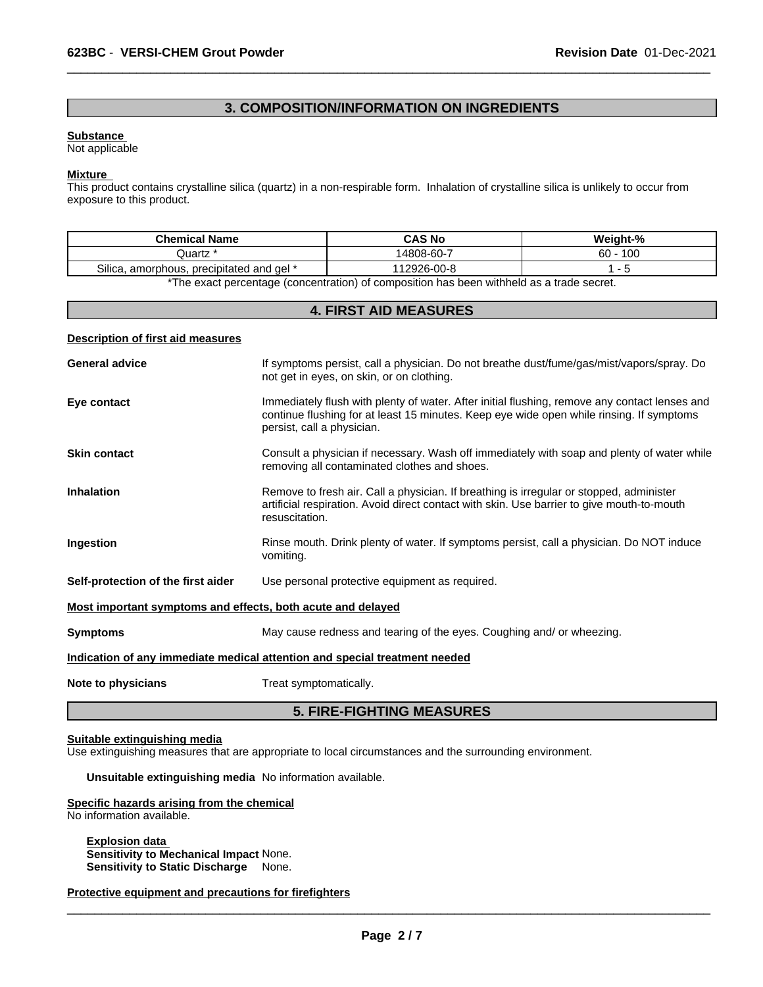# **3. COMPOSITION/INFORMATION ON INGREDIENTS**

 $\overline{\phantom{a}}$  ,  $\overline{\phantom{a}}$  ,  $\overline{\phantom{a}}$  ,  $\overline{\phantom{a}}$  ,  $\overline{\phantom{a}}$  ,  $\overline{\phantom{a}}$  ,  $\overline{\phantom{a}}$  ,  $\overline{\phantom{a}}$  ,  $\overline{\phantom{a}}$  ,  $\overline{\phantom{a}}$  ,  $\overline{\phantom{a}}$  ,  $\overline{\phantom{a}}$  ,  $\overline{\phantom{a}}$  ,  $\overline{\phantom{a}}$  ,  $\overline{\phantom{a}}$  ,  $\overline{\phantom{a}}$ 

#### **Substance**

Not applicable

### **Mixture**

This product contains crystalline silica (quartz) in a non-respirable form. Inhalation of crystalline silica is unlikely to occur from exposure to this product.

| <b>Chemical Name</b>                                                                                  | <b>CAS No</b> | Weight-%  |  |
|-------------------------------------------------------------------------------------------------------|---------------|-----------|--|
| Quartz                                                                                                | 4808-60-7     | 100<br>60 |  |
| Silica.<br>. precipitated and gel *<br>. amorphous.                                                   | 12926-00-8    |           |  |
| ₩The concentraceaeuses formaceuses. A cficence office has have criticalled to a state of the state of |               |           |  |

The exact percentage (concentration) of composition has been withheld as a trade secret.

# **4. FIRST AID MEASURES Description of first aid measures** General advice **If symptoms persist, call a physician**. Do not breathe dust/fume/gas/mist/vapors/spray. Do not get in eyes, on skin, or on clothing. **Eye contact Immediately flush with plenty of water. After initial flushing, remove any contact lenses and <b>Eye** contact lenses and continue flushing for at least 15 minutes. Keep eye wide open while rinsing. If symptoms persist, call a physician. **Skin contact Consult a physician if necessary.** Wash off immediately with soap and plenty of water while removing all contaminated clothes and shoes. **Inhalation** Remove to fresh air. Call a physician. If breathing is irregular or stopped, administer artificial respiration. Avoid direct contact with skin. Use barrier to give mouth-to-mouth resuscitation. **Ingestion** Rinse mouth. Drink plenty of water. If symptoms persist, call a physician. Do NOT induce vomiting. **Self-protection of the first aider** Use personal protective equipment as required. **Most important symptoms and effects, both acute and delayed Symptoms** May cause redness and tearing of the eyes. Coughing and/ or wheezing. **Indication of any immediate medical attention and special treatment needed Note to physicians** Treat symptomatically. **5. FIRE-FIGHTING MEASURES**

#### **Suitable extinguishing media**

Use extinguishing measures that are appropriate to local circumstances and the surrounding environment.

**Unsuitable extinguishing media** No information available.

#### **Specific hazards arising from the chemical**

No information available.

**Explosion data Sensitivity to Mechanical Impact** None. **Sensitivity to Static Discharge** None.

**Protective equipment and precautions for firefighters**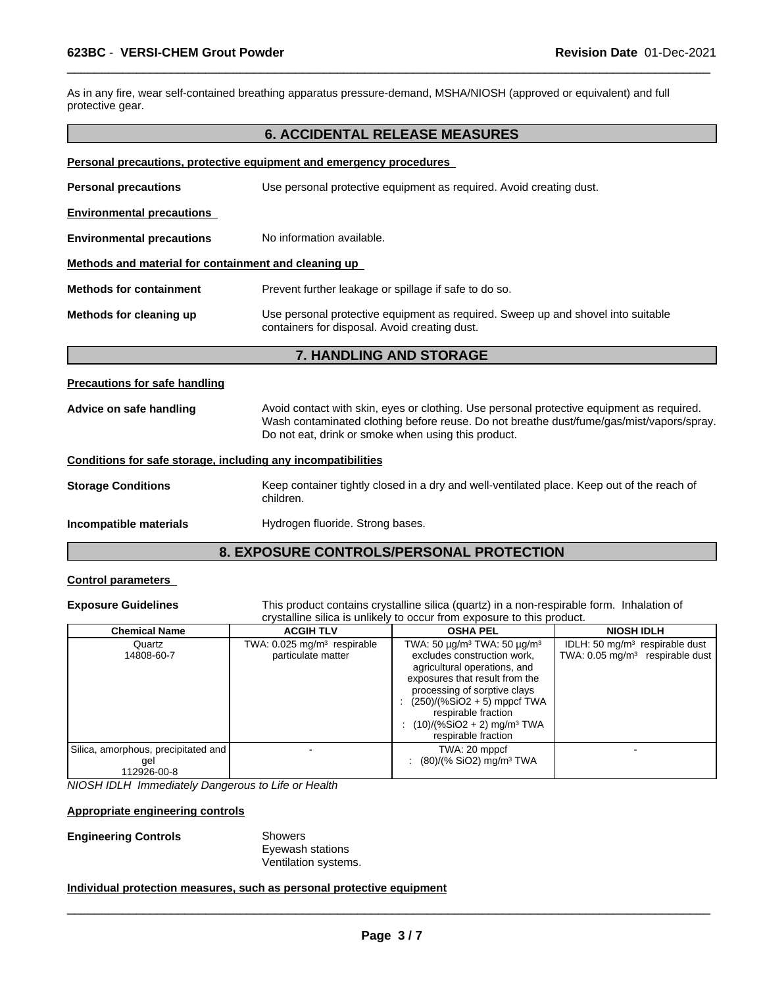As in any fire, wear self-contained breathing apparatus pressure-demand, MSHA/NIOSH (approved or equivalent) and full protective gear.

## **6. ACCIDENTAL RELEASE MEASURES**

 $\overline{\phantom{a}}$  ,  $\overline{\phantom{a}}$  ,  $\overline{\phantom{a}}$  ,  $\overline{\phantom{a}}$  ,  $\overline{\phantom{a}}$  ,  $\overline{\phantom{a}}$  ,  $\overline{\phantom{a}}$  ,  $\overline{\phantom{a}}$  ,  $\overline{\phantom{a}}$  ,  $\overline{\phantom{a}}$  ,  $\overline{\phantom{a}}$  ,  $\overline{\phantom{a}}$  ,  $\overline{\phantom{a}}$  ,  $\overline{\phantom{a}}$  ,  $\overline{\phantom{a}}$  ,  $\overline{\phantom{a}}$ 

| Personal precautions, protective equipment and emergency procedures |                                                                                                                                   |  |
|---------------------------------------------------------------------|-----------------------------------------------------------------------------------------------------------------------------------|--|
| <b>Personal precautions</b>                                         | Use personal protective equipment as required. Avoid creating dust.                                                               |  |
| <b>Environmental precautions</b>                                    |                                                                                                                                   |  |
| <b>Environmental precautions</b>                                    | No information available.                                                                                                         |  |
| Methods and material for containment and cleaning up                |                                                                                                                                   |  |
| <b>Methods for containment</b>                                      | Prevent further leakage or spillage if safe to do so.                                                                             |  |
| Methods for cleaning up                                             | Use personal protective equipment as required. Sweep up and shovel into suitable<br>containers for disposal. Avoid creating dust. |  |

# **7. HANDLING AND STORAGE**

### **Precautions for safe handling**

**Advice on safe handling** Avoid contact with skin, eyes or clothing. Use personal protective equipment as required. Wash contaminated clothing before reuse. Do not breathe dust/fume/gas/mist/vapors/spray. Do not eat, drink or smoke when using this product.

### **Conditions for safe storage, including any incompatibilities**

**Storage Conditions** Keep container tightly closed in a dry and well-ventilated place. Keep out of the reach of children.

**Incompatible materials Hydrogen fluoride. Strong bases.** 

# **8. EXPOSURE CONTROLS/PERSONAL PROTECTION**

### **Control parameters**

**Exposure Guidelines** This product contains crystalline silica (quartz) in a non-respirable form. Inhalation of crystalline silica is unlikely to occur from exposure to this product.

| <b>Chemical Name</b>                                        | <b>ACGIH TLV</b>                                                | <b>OSHA PEL</b>                                                                                                                                                                                                                                                                                                   | <b>NIOSH IDLH</b>                                                              |
|-------------------------------------------------------------|-----------------------------------------------------------------|-------------------------------------------------------------------------------------------------------------------------------------------------------------------------------------------------------------------------------------------------------------------------------------------------------------------|--------------------------------------------------------------------------------|
| Quartz<br>14808-60-7                                        | TWA: $0.025$ mg/m <sup>3</sup> respirable<br>particulate matter | TWA: 50 μg/m <sup>3</sup> TWA: 50 μg/m <sup>3</sup><br>excludes construction work,<br>agricultural operations, and<br>exposures that result from the<br>processing of sorptive clays<br>: $(250)/(%SiO2 + 5)$ mppcf TWA<br>respirable fraction<br>$(10)/(%SiO2 + 2)$ mg/m <sup>3</sup> TWA<br>respirable fraction | IDLH: 50 $mg/m3$ respirable dust<br>TWA: $0.05 \text{ mg/m}^3$ respirable dust |
| Silica, amorphous, precipitated and  <br>gel<br>112926-00-8 |                                                                 | TWA: 20 mppcf<br>: $(80)/(%$ SiO2) mg/m <sup>3</sup> TWA                                                                                                                                                                                                                                                          |                                                                                |

*NIOSH IDLH Immediately Dangerous to Life or Health*

#### **Appropriate engineering controls**

### **Engineering Controls** Showers

Eyewash stations Ventilation systems.

## **Individual protection measures, such as personal protective equipment**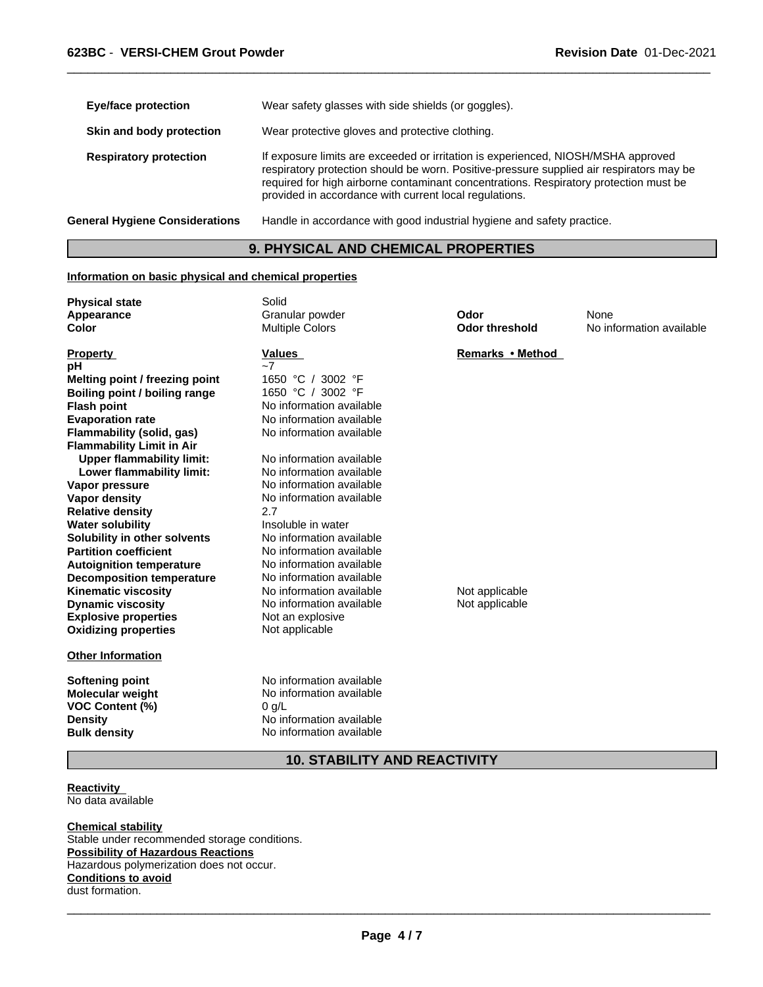| <b>Eye/face protection</b>            | Wear safety glasses with side shields (or goggles).                                                                                                                                                                                                                                                                              |
|---------------------------------------|----------------------------------------------------------------------------------------------------------------------------------------------------------------------------------------------------------------------------------------------------------------------------------------------------------------------------------|
| Skin and body protection              | Wear protective gloves and protective clothing.                                                                                                                                                                                                                                                                                  |
| <b>Respiratory protection</b>         | If exposure limits are exceeded or irritation is experienced, NIOSH/MSHA approved<br>respiratory protection should be worn. Positive-pressure supplied air respirators may be<br>required for high airborne contaminant concentrations. Respiratory protection must be<br>provided in accordance with current local regulations. |
| <b>General Hygiene Considerations</b> | Handle in accordance with good industrial hygiene and safety practice.                                                                                                                                                                                                                                                           |

 $\overline{\phantom{a}}$  ,  $\overline{\phantom{a}}$  ,  $\overline{\phantom{a}}$  ,  $\overline{\phantom{a}}$  ,  $\overline{\phantom{a}}$  ,  $\overline{\phantom{a}}$  ,  $\overline{\phantom{a}}$  ,  $\overline{\phantom{a}}$  ,  $\overline{\phantom{a}}$  ,  $\overline{\phantom{a}}$  ,  $\overline{\phantom{a}}$  ,  $\overline{\phantom{a}}$  ,  $\overline{\phantom{a}}$  ,  $\overline{\phantom{a}}$  ,  $\overline{\phantom{a}}$  ,  $\overline{\phantom{a}}$ 

# **9. PHYSICAL AND CHEMICAL PROPERTIES**

## **Information on basic physical and chemical properties**

| <b>Physical state</b><br>Appearance<br><b>Color</b>                                                                                                                                                                                                                                                                                                                                                                                                                                                                                                            | Solid<br>Granular powder<br><b>Multiple Colors</b>                                                                                                                                                                                                                                                                                                                                                                                            | Odor<br><b>Odor threshold</b>      | None<br>No information available |
|----------------------------------------------------------------------------------------------------------------------------------------------------------------------------------------------------------------------------------------------------------------------------------------------------------------------------------------------------------------------------------------------------------------------------------------------------------------------------------------------------------------------------------------------------------------|-----------------------------------------------------------------------------------------------------------------------------------------------------------------------------------------------------------------------------------------------------------------------------------------------------------------------------------------------------------------------------------------------------------------------------------------------|------------------------------------|----------------------------------|
| <b>Property</b><br>рH<br>Melting point / freezing point<br><b>Boiling point / boiling range</b><br><b>Flash point</b><br><b>Evaporation rate</b><br><b>Flammability (solid, gas)</b><br><b>Flammability Limit in Air</b><br><b>Upper flammability limit:</b><br>Lower flammability limit:<br>Vapor pressure<br><b>Vapor density</b><br><b>Relative density</b><br><b>Water solubility</b><br>Solubility in other solvents<br><b>Partition coefficient</b><br><b>Autoignition temperature</b><br><b>Decomposition temperature</b><br><b>Kinematic viscosity</b> | <b>Values</b><br>$-7$<br>1650 °C<br>3002 °F<br>1650 °C / 3002 °F<br>No information available<br>No information available<br>No information available<br>No information available<br>No information available<br>No information available<br>No information available<br>2.7<br>Insoluble in water<br>No information available<br>No information available<br>No information available<br>No information available<br>No information available | Remarks • Method<br>Not applicable |                                  |
| <b>Dynamic viscosity</b><br><b>Explosive properties</b><br><b>Oxidizing properties</b>                                                                                                                                                                                                                                                                                                                                                                                                                                                                         | No information available<br>Not an explosive<br>Not applicable                                                                                                                                                                                                                                                                                                                                                                                | Not applicable                     |                                  |
| <b>Other Information</b>                                                                                                                                                                                                                                                                                                                                                                                                                                                                                                                                       |                                                                                                                                                                                                                                                                                                                                                                                                                                               |                                    |                                  |
| Softening point<br><b>Molecular weight</b><br>VOC Content (%)<br><b>Density</b><br><b>Bulk density</b>                                                                                                                                                                                                                                                                                                                                                                                                                                                         | No information available<br>No information available<br>$0$ g/L<br>No information available<br>No information available                                                                                                                                                                                                                                                                                                                       |                                    |                                  |

# **10. STABILITY AND REACTIVITY**

**Reactivity**  No data available

**Chemical stability** Stable under recommended storage conditions. **Possibility of Hazardous Reactions** Hazardous polymerization does not occur. **Conditions to avoid** dust formation.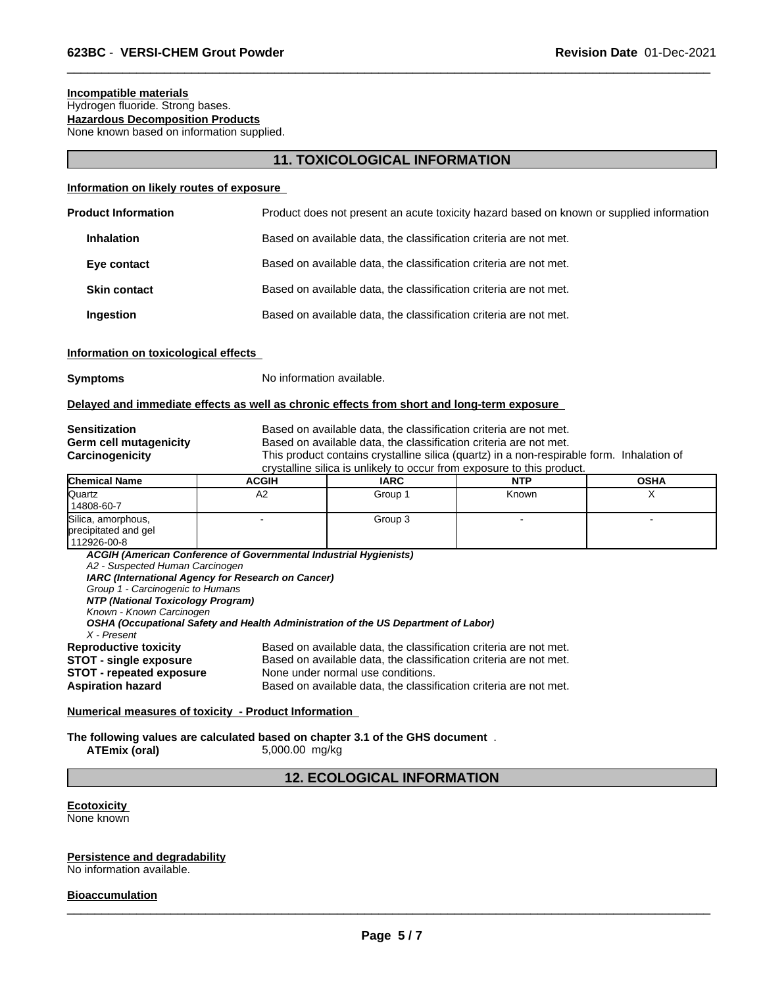# **Incompatible materials** Hydrogen fluoride. Strong bases.

**Hazardous Decomposition Products** None known based on information supplied.

# **11. TOXICOLOGICAL INFORMATION**

 $\overline{\phantom{a}}$  ,  $\overline{\phantom{a}}$  ,  $\overline{\phantom{a}}$  ,  $\overline{\phantom{a}}$  ,  $\overline{\phantom{a}}$  ,  $\overline{\phantom{a}}$  ,  $\overline{\phantom{a}}$  ,  $\overline{\phantom{a}}$  ,  $\overline{\phantom{a}}$  ,  $\overline{\phantom{a}}$  ,  $\overline{\phantom{a}}$  ,  $\overline{\phantom{a}}$  ,  $\overline{\phantom{a}}$  ,  $\overline{\phantom{a}}$  ,  $\overline{\phantom{a}}$  ,  $\overline{\phantom{a}}$ 

### **Information on likely routes of exposure**

| <b>Product Information</b> | Product does not present an acute toxicity hazard based on known or supplied information |
|----------------------------|------------------------------------------------------------------------------------------|
| <b>Inhalation</b>          | Based on available data, the classification criteria are not met.                        |
| Eye contact                | Based on available data, the classification criteria are not met.                        |
| <b>Skin contact</b>        | Based on available data, the classification criteria are not met.                        |
| Ingestion                  | Based on available data, the classification criteria are not met.                        |
|                            |                                                                                          |

### **Information on toxicological effects**

**Symptoms** No information available.

### **Delayed and immediate effects as well as chronic effects from short and long-term exposure**

**Sensitization** Based on available data, the classification criteria are not met. **Germ cell mutagenicity** Based on available data, the classification criteria are not met. **Carcinogenicity** This product contains crystalline silica (quartz) in a non-respirable form. Inhalation of crystalline silica is unlikely to occur from exposure to this product.

| <b>Chemical Name</b> | <b>ACGIH</b> | <b>IARC</b> | <b>NTP</b> | <b>OSHA</b> |
|----------------------|--------------|-------------|------------|-------------|
| Quartz               | ΑZ           | Group       | Known      |             |
| 14808-60-7           |              |             |            |             |
| Silica, amorphous,   |              | Group 3     |            |             |
| precipitated and gel |              |             |            |             |
| 112926-00-8          |              |             |            |             |

*ACGIH (American Conference of Governmental Industrial Hygienists) A2 - Suspected Human Carcinogen IARC (International Agency for Research on Cancer) Group 1 - Carcinogenic to Humans NTP (National Toxicology Program) Known - Known Carcinogen OSHA (Occupational Safety and Health Administration of the US Department of Labor) X - Present* **Reproductive toxicity** Based on available data, the classification criteria are not met.<br>**STOT - single exposure** Based on available data, the classification criteria are not met. **STOT - single exposure** Based on available data, the classification criteria are not met.<br>**STOT - repeated exposure** None under normal use conditions. **STOT - repeated exposure** None under normal use conditions.<br> **Aspiration hazard** Based on available data, the classi Based on available data, the classification criteria are not met.

### **Numerical measures of toxicity - Product Information**

**The following values are calculated based on chapter 3.1 of the GHS document** . **ATEmix (oral)** 5,000.00 mg/kg

# **12. ECOLOGICAL INFORMATION**

**Ecotoxicity**  None known

### **Persistence and degradability**

No information available.

#### **Bioaccumulation**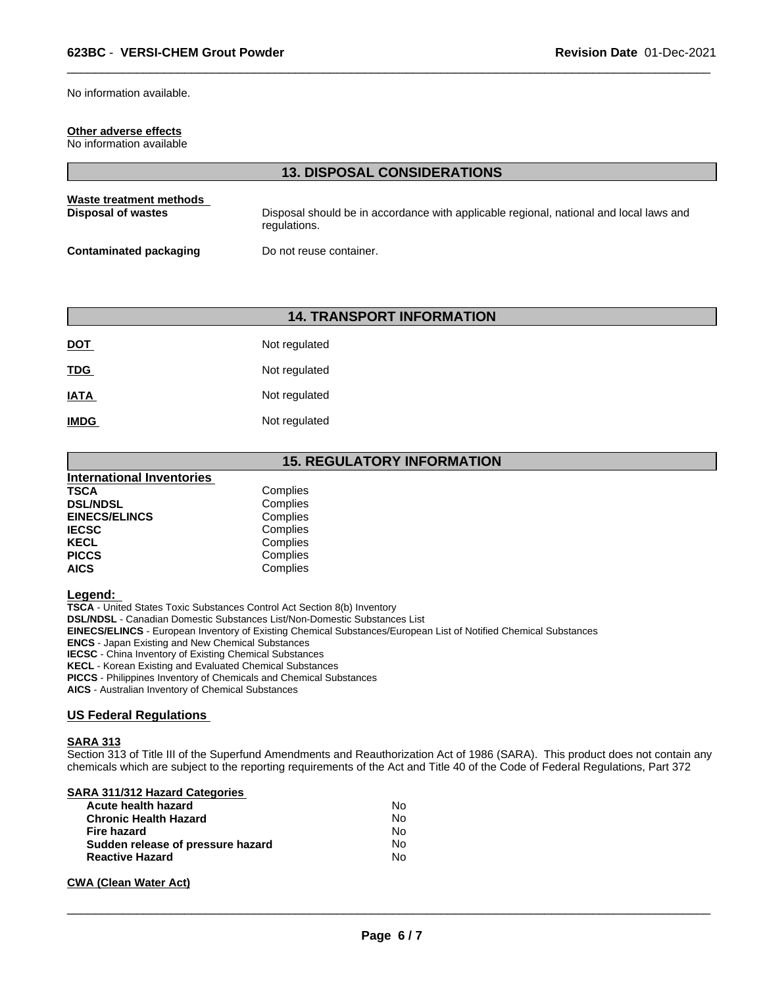No information available.

## **Other adverse effects**

No information available

|                                                      | <b>13. DISPOSAL CONSIDERATIONS</b>                                                                     |
|------------------------------------------------------|--------------------------------------------------------------------------------------------------------|
| Waste treatment methods<br><b>Disposal of wastes</b> | Disposal should be in accordance with applicable regional, national and local laws and<br>regulations. |
| <b>Contaminated packaging</b>                        | Do not reuse container.                                                                                |

 $\overline{\phantom{a}}$  ,  $\overline{\phantom{a}}$  ,  $\overline{\phantom{a}}$  ,  $\overline{\phantom{a}}$  ,  $\overline{\phantom{a}}$  ,  $\overline{\phantom{a}}$  ,  $\overline{\phantom{a}}$  ,  $\overline{\phantom{a}}$  ,  $\overline{\phantom{a}}$  ,  $\overline{\phantom{a}}$  ,  $\overline{\phantom{a}}$  ,  $\overline{\phantom{a}}$  ,  $\overline{\phantom{a}}$  ,  $\overline{\phantom{a}}$  ,  $\overline{\phantom{a}}$  ,  $\overline{\phantom{a}}$ 

# **14. TRANSPORT INFORMATION**

| <u>DOT</u>  | Not regulated |
|-------------|---------------|
| <u>TDG</u>  | Not regulated |
| <b>IATA</b> | Not regulated |
| <b>IMDG</b> | Not regulated |

# **15. REGULATORY INFORMATION**

| <b>International Inventories</b> |          |  |
|----------------------------------|----------|--|
| <b>TSCA</b>                      | Complies |  |
| <b>DSL/NDSL</b>                  | Complies |  |
| <b>EINECS/ELINCS</b>             | Complies |  |
| <b>IECSC</b>                     | Complies |  |
| <b>KECL</b>                      | Complies |  |
| <b>PICCS</b>                     | Complies |  |
| <b>AICS</b>                      | Complies |  |

**Legend:** 

**TSCA** - United States Toxic Substances Control Act Section 8(b) Inventory

**DSL/NDSL** - Canadian Domestic Substances List/Non-Domestic Substances List

**EINECS/ELINCS** - European Inventory of Existing Chemical Substances/European List of Notified Chemical Substances

**ENCS** - Japan Existing and New Chemical Substances

**IECSC** - China Inventory of Existing Chemical Substances

**KECL** - Korean Existing and Evaluated Chemical Substances

**PICCS** - Philippines Inventory of Chemicals and Chemical Substances

**AICS** - Australian Inventory of Chemical Substances

## **US Federal Regulations**

#### **SARA 313**

Section 313 of Title III of the Superfund Amendments and Reauthorization Act of 1986 (SARA). This product does not contain any chemicals which are subject to the reporting requirements of the Act and Title 40 of the Code of Federal Regulations, Part 372

## **SARA 311/312 Hazard Categories**

| Acute health hazard               | No |
|-----------------------------------|----|
| <b>Chronic Health Hazard</b>      | N٥ |
| <b>Fire hazard</b>                | N٥ |
| Sudden release of pressure hazard | No |
| <b>Reactive Hazard</b>            | N٥ |

# **CWA (Clean Water Act)**